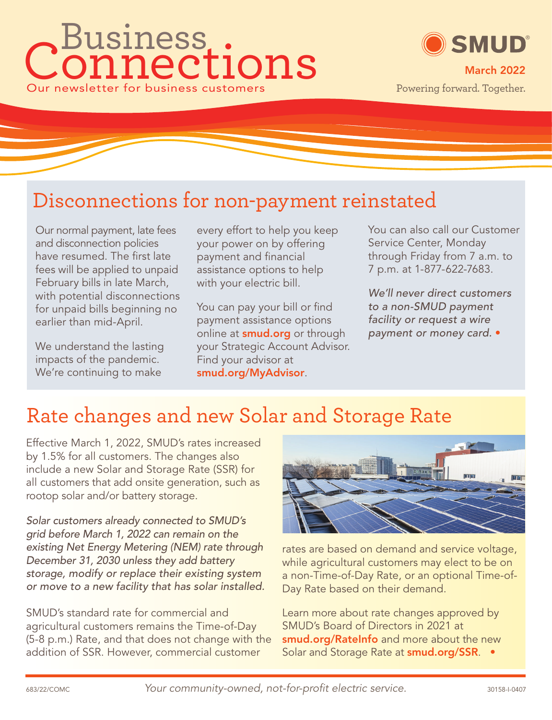# Connections Our newsletter for business customers Business ®



### Disconnections for non-payment reinstated

Our normal payment, late fees and disconnection policies have resumed. The first late fees will be applied to unpaid February bills in late March, with potential disconnections for unpaid bills beginning no earlier than mid-April.

We understand the lasting impacts of the pandemic. We're continuing to make

every effort to help you keep your power on by offering payment and financial assistance options to help with your electric bill.

You can pay your bill or find payment assistance options online at **smud.org** or through your Strategic Account Advisor. Find your advisor at **smud.org/MyAdvisor**.

You can also call our Customer Service Center, Monday through Friday from 7 a.m. to 7 p.m. at 1-877-622-7683.

We'll never direct customers to a non-SMUD payment facility or request a wire payment or money card. •

## Rate changes and new Solar and Storage Rate

Effective March 1, 2022, SMUD's rates increased by 1.5% for all customers. The changes also include a new Solar and Storage Rate (SSR) for all customers that add onsite generation, such as rootop solar and/or battery storage.

Solar customers already connected to SMUD's grid before March 1, 2022 can remain on the existing Net Energy Metering (NEM) rate through December 31, 2030 unless they add battery storage, modify or replace their existing system or move to a new facility that has solar installed.

SMUD's standard rate for commercial and agricultural customers remains the Time-of-Day (5-8 p.m.) Rate, and that does not change with the addition of SSR. However, commercial customer



rates are based on demand and service voltage, while agricultural customers may elect to be on a non-Time-of-Day Rate, or an optional Time-of-Day Rate based on their demand.

Learn more about rate changes approved by SMUD's Board of Directors in 2021 at **smud.org/RateInfo** and more about the new Solar and Storage Rate at **smud.org/SSR**. •